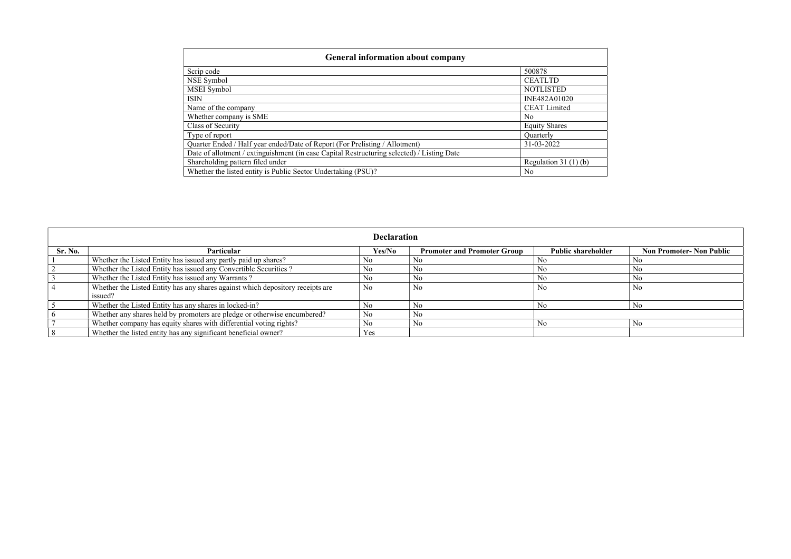| Scrip code                                                                                 | 500878                 |
|--------------------------------------------------------------------------------------------|------------------------|
| NSE Symbol                                                                                 | <b>CEATLTD</b>         |
| <b>MSEI</b> Symbol                                                                         | <b>NOTLISTED</b>       |
| <b>ISIN</b>                                                                                | INE482A01020           |
| Name of the company                                                                        | <b>CEAT Limited</b>    |
| Whether company is SME                                                                     | N <sub>o</sub>         |
| Class of Security                                                                          | <b>Equity Shares</b>   |
| Type of report                                                                             | Quarterly              |
| Quarter Ended / Half year ended/Date of Report (For Prelisting / Allotment)                | 31-03-2022             |
| Date of allotment / extinguishment (in case Capital Restructuring selected) / Listing Date |                        |
| Shareholding pattern filed under                                                           | Regulation 31 $(1)(b)$ |
| Whether the listed entity is Public Sector Undertaking (PSU)?                              | No                     |

| <b>Declaration</b> |                                                                                           |                |                                    |                           |                                 |  |  |  |
|--------------------|-------------------------------------------------------------------------------------------|----------------|------------------------------------|---------------------------|---------------------------------|--|--|--|
| <b>Sr. No.</b>     | Particular                                                                                | Yes/No         | <b>Promoter and Promoter Group</b> | <b>Public shareholder</b> | <b>Non Promoter- Non Public</b> |  |  |  |
|                    | Whether the Listed Entity has issued any partly paid up shares?                           | N <sub>0</sub> |                                    |                           | No.                             |  |  |  |
|                    | Whether the Listed Entity has issued any Convertible Securities?                          | No             |                                    | No                        | N <sub>0</sub>                  |  |  |  |
|                    | Whether the Listed Entity has issued any Warrants?                                        | No             |                                    | No                        | N <sub>o</sub>                  |  |  |  |
|                    | Whether the Listed Entity has any shares against which depository receipts are<br>issued? | N <sub>o</sub> | N <sub>0</sub>                     | N <sub>0</sub>            | N <sub>o</sub>                  |  |  |  |
|                    | Whether the Listed Entity has any shares in locked-in?                                    | No             |                                    |                           | N <sub>o</sub>                  |  |  |  |
|                    | Whether any shares held by promoters are pledge or otherwise encumbered?                  | No             |                                    |                           |                                 |  |  |  |
|                    | Whether company has equity shares with differential voting rights?                        | No             |                                    | No                        | N <sub>o</sub>                  |  |  |  |
|                    | Whether the listed entity has any significant beneficial owner?                           | Yes            |                                    |                           |                                 |  |  |  |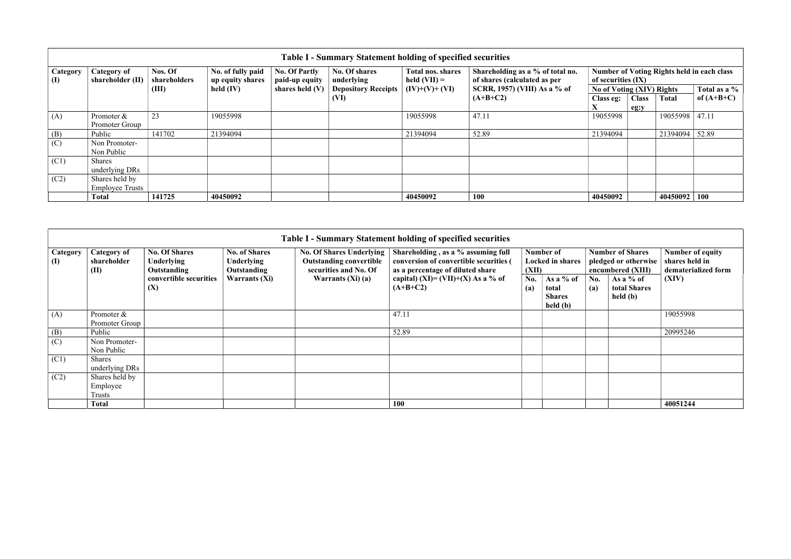|                                 | <b>Table I - Summary Statement holding of specified securities</b> |                                                                  |                                        |                             |                                     |                                                                  |                                                                         |           |                              |              |  |  |  |
|---------------------------------|--------------------------------------------------------------------|------------------------------------------------------------------|----------------------------------------|-----------------------------|-------------------------------------|------------------------------------------------------------------|-------------------------------------------------------------------------|-----------|------------------------------|--------------|--|--|--|
| <b>Category</b><br>$\mathbf{I}$ | Category of<br>shareholder (II)                                    | Nos. Of<br>No. of fully paid<br>shareholders<br>up equity shares | <b>No. Of Partly</b><br>paid-up equity | No. Of shares<br>underlying | Total nos. shares<br>held $(VII) =$ | Shareholding as a % of total no.<br>of shares (calculated as per | <b>Number of Voting Rights held in each class</b><br>of securities (IX) |           |                              |              |  |  |  |
|                                 |                                                                    | (III)                                                            | held $(IV)$                            | shares held $(V)$           | <b>Depository Receipts</b>          | $(IV)+(V)+(VI)$                                                  | SCRR, 1957) (VIII) As a % of                                            |           | No of Voting (XIV) Rights    | Total as a % |  |  |  |
|                                 |                                                                    |                                                                  |                                        |                             | (VI)                                |                                                                  | $(A+B+C2)$                                                              | Class eg: | <b>Class</b><br><b>Total</b> | of $(A+B+C)$ |  |  |  |
|                                 |                                                                    |                                                                  |                                        |                             |                                     |                                                                  |                                                                         |           | eg:y                         |              |  |  |  |
| (A)                             | Promoter &                                                         | 23                                                               | 19055998                               |                             |                                     | 19055998                                                         | 47.11                                                                   | 19055998  | 19055998                     | 47.11        |  |  |  |
|                                 | Promoter Group                                                     |                                                                  |                                        |                             |                                     |                                                                  |                                                                         |           |                              |              |  |  |  |
| (B)                             | Public                                                             | 141702                                                           | 21394094                               |                             |                                     | 21394094                                                         | 52.89                                                                   | 21394094  | 21394094 52.89               |              |  |  |  |
| (C)                             | Non Promoter-                                                      |                                                                  |                                        |                             |                                     |                                                                  |                                                                         |           |                              |              |  |  |  |
|                                 | Non Public                                                         |                                                                  |                                        |                             |                                     |                                                                  |                                                                         |           |                              |              |  |  |  |
| (C1)                            | Shares                                                             |                                                                  |                                        |                             |                                     |                                                                  |                                                                         |           |                              |              |  |  |  |
|                                 | underlying DRs                                                     |                                                                  |                                        |                             |                                     |                                                                  |                                                                         |           |                              |              |  |  |  |
| (C2)                            | Shares held by                                                     |                                                                  |                                        |                             |                                     |                                                                  |                                                                         |           |                              |              |  |  |  |
|                                 | <b>Employee Trusts</b>                                             |                                                                  |                                        |                             |                                     |                                                                  |                                                                         |           |                              |              |  |  |  |
|                                 | Total                                                              | 141725                                                           | 40450092                               |                             |                                     | 40450092                                                         | 100                                                                     | 40450092  | 40450092 100                 |              |  |  |  |

| Table I - Summary Statement holding of specified securities |                                           |                                                   |                                                                 |                                                                                            |                                                                                                                  |            |                                                 |                                                                      |                                         |                                                           |
|-------------------------------------------------------------|-------------------------------------------|---------------------------------------------------|-----------------------------------------------------------------|--------------------------------------------------------------------------------------------|------------------------------------------------------------------------------------------------------------------|------------|-------------------------------------------------|----------------------------------------------------------------------|-----------------------------------------|-----------------------------------------------------------|
| <b>Category</b><br>$\mathbf{I}$                             | <b>Category of</b><br>shareholder<br>(II) | <b>No. Of Shares</b><br>Underlying<br>Outstanding | <b>No. of Shares</b><br><b>Underlying</b><br><b>Outstanding</b> | <b>No. Of Shares Underlying</b><br><b>Outstanding convertible</b><br>securities and No. Of | Shareholding, as a % assuming full<br>conversion of convertible securities (<br>as a percentage of diluted share |            | Number of<br><b>Locked in shares</b><br>(XII)   | <b>Number of Shares</b><br>pledged or otherwise<br>encumbered (XIII) |                                         | Number of equity<br>shares held in<br>dematerialized form |
|                                                             |                                           | convertible securities<br>(X)                     | <b>Warrants (Xi)</b>                                            | Warrants $(Xi)$ (a)                                                                        | capital) (XI)= (VII)+(X) As a % of<br>$(A+B+C2)$                                                                 | No.<br>(a) | As a % of<br>total<br><b>Shares</b><br>held (b) | No.<br>(a)                                                           | As a $%$ of<br>total Shares<br>held (b) | (XIV)                                                     |
| (A)                                                         | Promoter &<br>Promoter Group              |                                                   |                                                                 |                                                                                            | 47.11                                                                                                            |            |                                                 |                                                                      |                                         | 19055998                                                  |
| (B)                                                         | Public                                    |                                                   |                                                                 |                                                                                            | 52.89                                                                                                            |            |                                                 |                                                                      |                                         | 20995246                                                  |
| (C)                                                         | Non Promoter-<br>Non Public               |                                                   |                                                                 |                                                                                            |                                                                                                                  |            |                                                 |                                                                      |                                         |                                                           |
| (C1)                                                        | Shares                                    |                                                   |                                                                 |                                                                                            |                                                                                                                  |            |                                                 |                                                                      |                                         |                                                           |
|                                                             | underlying DRs                            |                                                   |                                                                 |                                                                                            |                                                                                                                  |            |                                                 |                                                                      |                                         |                                                           |
| (C2)                                                        | Shares held by                            |                                                   |                                                                 |                                                                                            |                                                                                                                  |            |                                                 |                                                                      |                                         |                                                           |
|                                                             | Employee                                  |                                                   |                                                                 |                                                                                            |                                                                                                                  |            |                                                 |                                                                      |                                         |                                                           |
|                                                             | Trusts                                    |                                                   |                                                                 |                                                                                            |                                                                                                                  |            |                                                 |                                                                      |                                         |                                                           |
|                                                             | Total                                     |                                                   |                                                                 |                                                                                            | <b>100</b>                                                                                                       |            |                                                 |                                                                      |                                         | 40051244                                                  |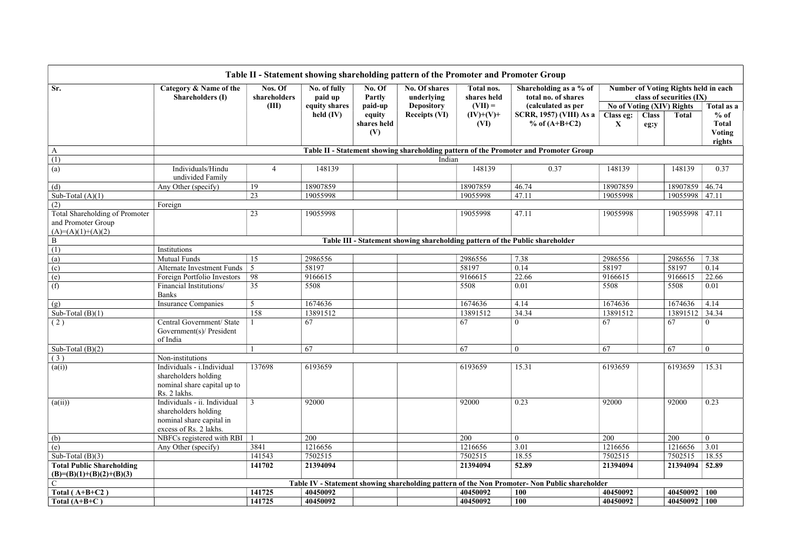|                                                                             |                                                                                                            |                         |                         |                    |                                |                           | Table II - Statement showing shareholding pattern of the Promoter and Promoter Group          |           |                                                                         |                                         |  |
|-----------------------------------------------------------------------------|------------------------------------------------------------------------------------------------------------|-------------------------|-------------------------|--------------------|--------------------------------|---------------------------|-----------------------------------------------------------------------------------------------|-----------|-------------------------------------------------------------------------|-----------------------------------------|--|
| Sr.                                                                         | Category & Name of the<br><b>Shareholders (I)</b>                                                          | Nos. Of<br>shareholders | No. of fully<br>paid up | No. Of<br>Partly   | No. Of shares<br>underlying    | Total nos.<br>shares held | Shareholding as a % of<br>total no. of shares                                                 |           | <b>Number of Voting Rights held in each</b><br>class of securities (IX) |                                         |  |
|                                                                             |                                                                                                            | (III)                   | equity shares           | paid-up            | $(VII) =$<br><b>Depository</b> |                           | (calculated as per                                                                            |           | No of Voting (XIV) Rights                                               | Total as a                              |  |
|                                                                             |                                                                                                            |                         | held $(IV)$             | equity             | <b>Receipts (VI)</b>           | $(IV)+(V)+$               | <b>SCRR, 1957) (VIII) As a</b>                                                                | Class eg: | <b>Class</b><br><b>Total</b>                                            | $%$ of                                  |  |
|                                                                             |                                                                                                            |                         |                         | shares held<br>(V) |                                | (VI)                      | $%$ of (A+B+C2)                                                                               | X         | eg:y                                                                    | <b>Total</b><br><b>Voting</b><br>rights |  |
| A                                                                           |                                                                                                            |                         |                         |                    |                                |                           | Table II - Statement showing shareholding pattern of the Promoter and Promoter Group          |           |                                                                         |                                         |  |
| (1)                                                                         |                                                                                                            |                         |                         |                    | Indian                         |                           |                                                                                               |           |                                                                         |                                         |  |
| (a)                                                                         | Individuals/Hindu<br>undivided Family                                                                      | $\overline{4}$          | 148139                  |                    |                                | 148139                    | 0.37                                                                                          | 148139    | 148139                                                                  | 0.37                                    |  |
| (d)                                                                         | Any Other (specify)                                                                                        | 19                      | 18907859                |                    |                                | 18907859                  | 46.74                                                                                         | 18907859  | 18907859                                                                | 46.74                                   |  |
| Sub-Total $(A)(1)$                                                          |                                                                                                            | 23                      | 19055998                |                    |                                | 19055998                  | 47.11                                                                                         | 19055998  | 19055998 47.11                                                          |                                         |  |
| (2)                                                                         | Foreign                                                                                                    |                         |                         |                    |                                |                           |                                                                                               |           |                                                                         |                                         |  |
| Total Shareholding of Promoter<br>and Promoter Group<br>$(A)=(A)(1)+(A)(2)$ |                                                                                                            | 23                      | 19055998                |                    |                                | 19055998                  | 47.11                                                                                         | 19055998  | 19055998 47.11                                                          |                                         |  |
| $\, {\bf B}$                                                                |                                                                                                            |                         |                         |                    |                                |                           | Table III - Statement showing shareholding pattern of the Public shareholder                  |           |                                                                         |                                         |  |
| (1)                                                                         | Institutions                                                                                               |                         |                         |                    |                                |                           |                                                                                               |           |                                                                         |                                         |  |
| $\left( a\right)$                                                           | <b>Mutual Funds</b>                                                                                        | 15                      | 2986556                 |                    |                                | 2986556                   | 7.38                                                                                          | 2986556   | 2986556                                                                 | 7.38                                    |  |
| (c)                                                                         | <b>Alternate Investment Funds</b>                                                                          | 5                       | 58197                   |                    |                                | 58197                     | 0.14                                                                                          | 58197     | 58197                                                                   | 0.14                                    |  |
| (e)                                                                         | Foreign Portfolio Investors                                                                                | 98                      | 9166615                 |                    |                                | 9166615                   | 22.66                                                                                         | 9166615   | 9166615                                                                 | 22.66                                   |  |
| (f)                                                                         | Financial Institutions/<br><b>Banks</b>                                                                    | 35                      | 5508                    |                    |                                | 5508                      | 0.01                                                                                          | 5508      | 5508                                                                    | 0.01                                    |  |
| (g)                                                                         | <b>Insurance Companies</b>                                                                                 | 5                       | 1674636                 |                    |                                | 1674636                   | 4.14                                                                                          | 1674636   | 1674636                                                                 | 4.14                                    |  |
| Sub-Total $(B)(1)$                                                          |                                                                                                            | 158                     | 13891512                |                    |                                | 13891512                  | 34.34                                                                                         | 13891512  | 13891512 34.34                                                          |                                         |  |
| (2)                                                                         | Central Government/ State<br>Government(s)/ President<br>of India                                          |                         | 67                      |                    |                                | 67                        | $\theta$                                                                                      | 67        | 67                                                                      |                                         |  |
| Sub-Total $(B)(2)$                                                          |                                                                                                            |                         | 67                      |                    |                                | 67                        | $\boldsymbol{0}$                                                                              | 67        | 67                                                                      | $\overline{0}$                          |  |
| (3)                                                                         | Non-institutions                                                                                           |                         |                         |                    |                                |                           |                                                                                               |           |                                                                         |                                         |  |
| (a(i))                                                                      | Individuals - i.Individual<br>shareholders holding<br>nominal share capital up to<br>Rs. 2 lakhs.          | 137698                  | 6193659                 |                    |                                | 6193659                   | 15.31                                                                                         | 6193659   | 6193659                                                                 | 15.31                                   |  |
| (a(ii))                                                                     | Individuals - ii. Individual<br>shareholders holding<br>nominal share capital in<br>excess of Rs. 2 lakhs. | 3                       | 92000                   |                    |                                | 92000                     | 0.23                                                                                          | 92000     | 92000                                                                   | 0.23                                    |  |
| (b)                                                                         | NBFCs registered with RBI $\parallel$                                                                      |                         | 200                     |                    |                                | 200                       | $\overline{0}$                                                                                | 200       | 200                                                                     | $\overline{0}$                          |  |
| (e)                                                                         | Any Other (specify)                                                                                        | 3841                    | 1216656                 |                    |                                | 1216656                   | 3.01                                                                                          | 1216656   | 1216656                                                                 | 3.01                                    |  |
| Sub-Total $(B)(3)$                                                          |                                                                                                            | 141543                  | 7502515                 |                    |                                | 7502515                   | 18.55                                                                                         | 7502515   | 7502515                                                                 | 18.55                                   |  |
| <b>Total Public Shareholding</b><br>$(B)=(B)(1)+(B)(2)+(B)(3)$              |                                                                                                            | 141702                  | 21394094                |                    |                                | 21394094                  | 52.89                                                                                         | 21394094  | 21394094                                                                | 52.89                                   |  |
| $\mathcal{C}$                                                               |                                                                                                            |                         |                         |                    |                                |                           | Table IV - Statement showing shareholding pattern of the Non Promoter- Non Public shareholder |           |                                                                         |                                         |  |
| Total $(A+B+C2)$                                                            |                                                                                                            | 141725                  | 40450092                |                    |                                | 40450092                  | <b>100</b>                                                                                    | 40450092  | $40450092$   100                                                        |                                         |  |
| Total $(A+B+C)$                                                             |                                                                                                            | 141725                  | 40450092                |                    |                                | 40450092                  | 100                                                                                           | 40450092  | 40450092 100                                                            |                                         |  |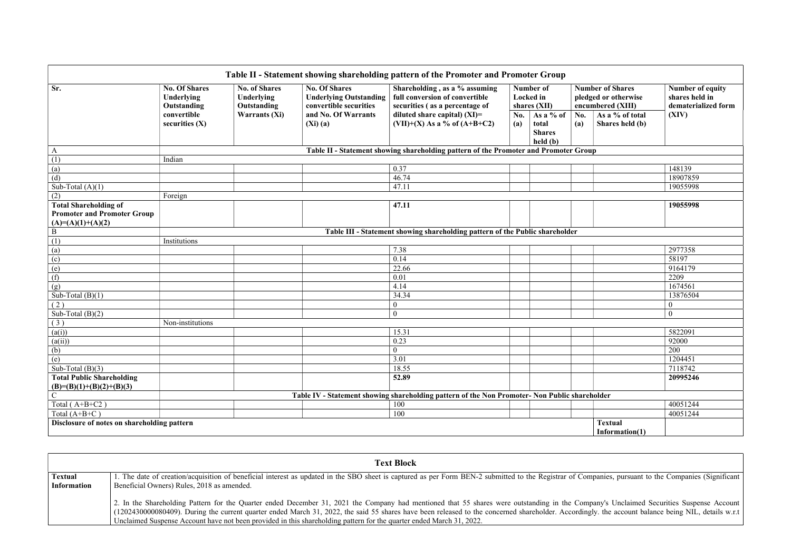|                                                                |                                                                                                               |                      |                                                | Table II - Statement showing shareholding pattern of the Promoter and Promoter Group                                                                                         |            |                                                 |            |                                                                      |                                                           |  |
|----------------------------------------------------------------|---------------------------------------------------------------------------------------------------------------|----------------------|------------------------------------------------|------------------------------------------------------------------------------------------------------------------------------------------------------------------------------|------------|-------------------------------------------------|------------|----------------------------------------------------------------------|-----------------------------------------------------------|--|
| Sr.                                                            | <b>No. Of Shares</b><br><b>No. of Shares</b><br>Underlying<br><b>Underlying</b><br>Outstanding<br>Outstanding |                      | <b>No. Of Shares</b><br>convertible securities | Shareholding, as a % assuming<br>Number of<br>full conversion of convertible<br>Locked in<br><b>Underlying Outstanding</b><br>securities (as a percentage of<br>shares (XII) |            |                                                 |            | <b>Number of Shares</b><br>pledged or otherwise<br>encumbered (XIII) | Number of equity<br>shares held in<br>dematerialized form |  |
|                                                                | convertible<br>securities $(X)$                                                                               | <b>Warrants (Xi)</b> | and No. Of Warrants<br>$(Xi)$ $(a)$            | diluted share capital) $(XI)$ =<br>$(VII)+(X)$ As a % of $(A+B+C2)$                                                                                                          | No.<br>(a) | As a % of<br>total<br><b>Shares</b><br>held (b) | No.<br>(a) | As a % of total<br>Shares held (b)                                   | (XIV)                                                     |  |
| $\mathbf{A}$                                                   |                                                                                                               |                      |                                                | Table II - Statement showing shareholding pattern of the Promoter and Promoter Group                                                                                         |            |                                                 |            |                                                                      |                                                           |  |
| (1)                                                            | Indian                                                                                                        |                      |                                                |                                                                                                                                                                              |            |                                                 |            |                                                                      |                                                           |  |
| $\left( a\right)$                                              |                                                                                                               |                      |                                                | 0.37                                                                                                                                                                         |            |                                                 |            |                                                                      | 148139                                                    |  |
| (d)                                                            |                                                                                                               |                      |                                                | 46.74                                                                                                                                                                        |            |                                                 |            |                                                                      | 18907859                                                  |  |
| Sub-Total $(A)(1)$                                             |                                                                                                               |                      |                                                | 47.11                                                                                                                                                                        |            |                                                 |            |                                                                      | 19055998                                                  |  |
| (2)                                                            | Foreign                                                                                                       |                      |                                                |                                                                                                                                                                              |            |                                                 |            |                                                                      |                                                           |  |
| <b>Total Shareholding of</b>                                   |                                                                                                               |                      |                                                | 47.11                                                                                                                                                                        |            |                                                 |            |                                                                      | 19055998                                                  |  |
| <b>Promoter and Promoter Group</b>                             |                                                                                                               |                      |                                                |                                                                                                                                                                              |            |                                                 |            |                                                                      |                                                           |  |
| $(A)=(A)(1)+(A)(2)$                                            |                                                                                                               |                      |                                                |                                                                                                                                                                              |            |                                                 |            |                                                                      |                                                           |  |
| $\mathbf B$                                                    | Table III - Statement showing shareholding pattern of the Public shareholder                                  |                      |                                                |                                                                                                                                                                              |            |                                                 |            |                                                                      |                                                           |  |
| (1)                                                            | Institutions                                                                                                  |                      |                                                |                                                                                                                                                                              |            |                                                 |            |                                                                      |                                                           |  |
| (a)                                                            |                                                                                                               |                      |                                                | 7.38                                                                                                                                                                         |            |                                                 |            |                                                                      | 2977358                                                   |  |
| (c)                                                            |                                                                                                               |                      |                                                | 0.14                                                                                                                                                                         |            |                                                 |            |                                                                      | 58197                                                     |  |
| (e)                                                            |                                                                                                               |                      |                                                | 22.66                                                                                                                                                                        |            |                                                 |            |                                                                      | 9164179                                                   |  |
| (f)                                                            |                                                                                                               |                      |                                                | 0.01                                                                                                                                                                         |            |                                                 |            |                                                                      | 2209                                                      |  |
| (g)                                                            |                                                                                                               |                      |                                                | 4.14                                                                                                                                                                         |            |                                                 |            |                                                                      | 1674561                                                   |  |
| Sub-Total $(B)(1)$                                             |                                                                                                               |                      |                                                | 34.34                                                                                                                                                                        |            |                                                 |            |                                                                      | 13876504                                                  |  |
| (2)                                                            |                                                                                                               |                      |                                                | $\boldsymbol{0}$                                                                                                                                                             |            |                                                 |            |                                                                      | 0                                                         |  |
| Sub-Total $(B)(2)$                                             |                                                                                                               |                      |                                                | $\theta$                                                                                                                                                                     |            |                                                 |            |                                                                      | $\theta$                                                  |  |
| (3)                                                            | Non-institutions                                                                                              |                      |                                                |                                                                                                                                                                              |            |                                                 |            |                                                                      |                                                           |  |
| (a(i))                                                         |                                                                                                               |                      |                                                | 15.31                                                                                                                                                                        |            |                                                 |            |                                                                      | 5822091                                                   |  |
| (a(ii))                                                        |                                                                                                               |                      |                                                | 0.23                                                                                                                                                                         |            |                                                 |            |                                                                      | 92000                                                     |  |
| (b)                                                            |                                                                                                               |                      |                                                | $\mathbf{0}$                                                                                                                                                                 |            |                                                 |            |                                                                      | 200                                                       |  |
| (e)                                                            |                                                                                                               |                      |                                                | 3.01                                                                                                                                                                         |            |                                                 |            |                                                                      | 1204451                                                   |  |
| Sub-Total $(B)(3)$                                             |                                                                                                               |                      |                                                | 18.55                                                                                                                                                                        |            |                                                 |            |                                                                      | 7118742                                                   |  |
| <b>Total Public Shareholding</b><br>$(B)=(B)(1)+(B)(2)+(B)(3)$ |                                                                                                               |                      |                                                | 52.89                                                                                                                                                                        |            |                                                 |            |                                                                      | 20995246                                                  |  |
| $\mathsf{C}$                                                   |                                                                                                               |                      |                                                | Table IV - Statement showing shareholding pattern of the Non Promoter- Non Public shareholder                                                                                |            |                                                 |            |                                                                      |                                                           |  |
| Total $(A+B+C2)$                                               |                                                                                                               |                      |                                                | 100                                                                                                                                                                          |            |                                                 |            |                                                                      | 40051244                                                  |  |
| Total $(A+B+C)$                                                |                                                                                                               |                      |                                                | 100                                                                                                                                                                          |            |                                                 |            |                                                                      | 40051244                                                  |  |
| Disclosure of notes on shareholding pattern                    |                                                                                                               |                      |                                                |                                                                                                                                                                              |            |                                                 |            | <b>Textual</b><br>Information(1)                                     |                                                           |  |

|                                      | <b>Text Block</b>                                                                                                                                                                                                                                                                                                                                                                                                                                                                                                     |
|--------------------------------------|-----------------------------------------------------------------------------------------------------------------------------------------------------------------------------------------------------------------------------------------------------------------------------------------------------------------------------------------------------------------------------------------------------------------------------------------------------------------------------------------------------------------------|
| <b>Textual</b><br><b>Information</b> | 1. The date of creation/acquisition of beneficial interest as updated in the SBO sheet is captured as per Form BEN-2 submitted to the Registrar of Companies, pursuant to the Companies (Significant<br>Beneficial Owners) Rules, 2018 as amended.                                                                                                                                                                                                                                                                    |
|                                      | 2. In the Shareholding Pattern for the Quarter ended December 31, 2021 the Company had mentioned that 55 shares were outstanding in the Company's Unclaimed Securities Suspense Account<br>(1202430000080409). During the current quarter ended March 31, 2022, the said 55 shares have been released to the concerned shareholder. Accordingly. the account balance being NIL, details w.r.t<br>Unclaimed Suspense Account have not been provided in this shareholding pattern for the quarter ended March 31, 2022. |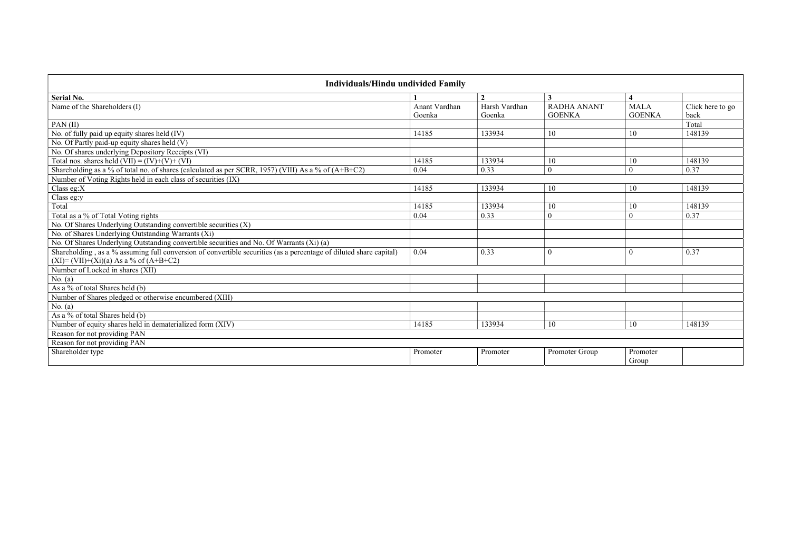| Individuals/Hindu undivided Family                                                                                 |                         |                         |                                     |                              |                                              |
|--------------------------------------------------------------------------------------------------------------------|-------------------------|-------------------------|-------------------------------------|------------------------------|----------------------------------------------|
| Serial No.                                                                                                         |                         | $\overline{2}$          | 3                                   | $\overline{\mathbf{4}}$      |                                              |
| Name of the Shareholders (I)                                                                                       | Anant Vardhan<br>Goenka | Harsh Vardhan<br>Goenka | <b>RADHA ANANT</b><br><b>GOENKA</b> | <b>MALA</b><br><b>GOENKA</b> | $\overline{\text{Click}}$ here to go<br>back |
| PAN $(II)$                                                                                                         |                         |                         |                                     |                              | Total                                        |
| No. of fully paid up equity shares held (IV)                                                                       | 14185                   | 133934                  | 10                                  | 10                           | 148139                                       |
| No. Of Partly paid-up equity shares held (V)                                                                       |                         |                         |                                     |                              |                                              |
| No. Of shares underlying Depository Receipts (VI)                                                                  |                         |                         |                                     |                              |                                              |
| Total nos. shares held $(VII) = (IV)+(V)+(VI)$                                                                     | 14185                   | 133934                  | 10                                  | 10                           | 148139                                       |
| Shareholding as a % of total no. of shares (calculated as per SCRR, 1957) (VIII) As a % of (A+B+C2)                | 0.04                    | 0.33                    | $\boldsymbol{0}$                    | $\overline{0}$               | 0.37                                         |
| Number of Voting Rights held in each class of securities (IX)                                                      |                         |                         |                                     |                              |                                              |
| Class eg: $X$                                                                                                      | 14185                   | 133934                  | 10                                  | 10                           | 148139                                       |
| Class eg:y                                                                                                         |                         |                         |                                     |                              |                                              |
| Total                                                                                                              | 14185                   | 133934                  | 10                                  | 10                           | 148139                                       |
| Total as a % of Total Voting rights                                                                                | 0.04                    | 0.33                    | $\theta$                            | $\theta$                     | 0.37                                         |
| No. Of Shares Underlying Outstanding convertible securities (X)                                                    |                         |                         |                                     |                              |                                              |
| No. of Shares Underlying Outstanding Warrants (Xi)                                                                 |                         |                         |                                     |                              |                                              |
| No. Of Shares Underlying Outstanding convertible securities and No. Of Warrants (Xi) (a)                           |                         |                         |                                     |                              |                                              |
| Shareholding, as a % assuming full conversion of convertible securities (as a percentage of diluted share capital) | 0.04                    | 0.33                    | $\theta$                            | $\theta$                     | 0.37                                         |
| $(XI) = (VII) + (Xi)(a) As a \% of (A+B+C2)$                                                                       |                         |                         |                                     |                              |                                              |
| Number of Locked in shares (XII)                                                                                   |                         |                         |                                     |                              |                                              |
| No. $(a)$                                                                                                          |                         |                         |                                     |                              |                                              |
| As a % of total Shares held (b)                                                                                    |                         |                         |                                     |                              |                                              |
| Number of Shares pledged or otherwise encumbered (XIII)                                                            |                         |                         |                                     |                              |                                              |
| No. (a)                                                                                                            |                         |                         |                                     |                              |                                              |
| As a % of total Shares held (b)                                                                                    |                         |                         |                                     |                              |                                              |
| Number of equity shares held in dematerialized form (XIV)                                                          | 14185                   | 133934                  | 10                                  | 10                           | 148139                                       |
| Reason for not providing PAN                                                                                       |                         |                         |                                     |                              |                                              |
| Reason for not providing PAN                                                                                       |                         |                         |                                     |                              |                                              |
| Shareholder type                                                                                                   | Promoter                | Promoter                | Promoter Group                      | Promoter<br>Group            |                                              |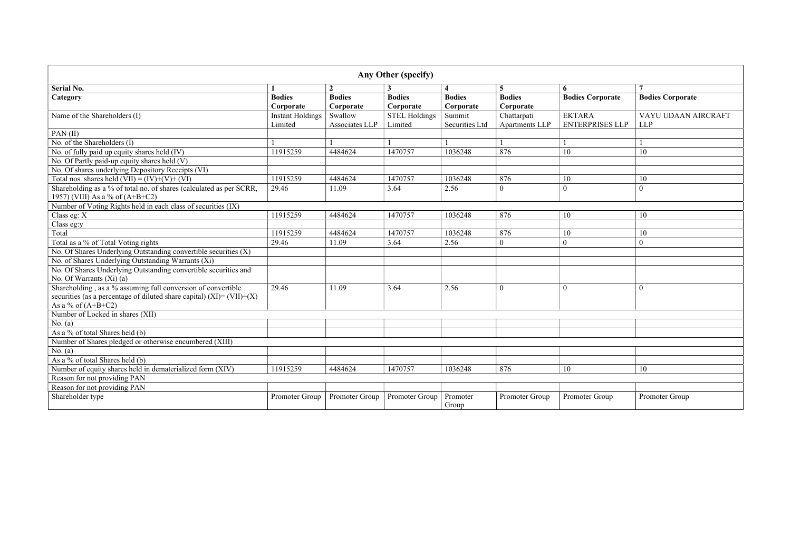| Any Other (specify)                                                                                                                                              |                                    |                            |                                 |                                 |                               |                                         |                                   |  |  |
|------------------------------------------------------------------------------------------------------------------------------------------------------------------|------------------------------------|----------------------------|---------------------------------|---------------------------------|-------------------------------|-----------------------------------------|-----------------------------------|--|--|
| <b>Serial No.</b>                                                                                                                                                | -1                                 | $\overline{2}$             |                                 | $\overline{\mathbf{4}}$         | $5\overline{)}$               | 6                                       | $\overline{7}$                    |  |  |
| Category                                                                                                                                                         | <b>Bodies</b><br>Corporate         | <b>Bodies</b><br>Corporate | <b>Bodies</b><br>Corporate      | <b>Bodies</b><br>Corporate      | <b>Bodies</b><br>Corporate    | <b>Bodies Corporate</b>                 | <b>Bodies Corporate</b>           |  |  |
| Name of the Shareholders (I)                                                                                                                                     | <b>Instant Holdings</b><br>Limited | Swallow<br>Associates LLP  | <b>STEL Holdings</b><br>Limited | Summit<br><b>Securities Ltd</b> | Chattarpati<br>Apartments LLP | <b>EKTARA</b><br><b>ENTERPRISES LLP</b> | VAYU UDAAN AIRCRAFT<br><b>LLP</b> |  |  |
| PAN(II)                                                                                                                                                          |                                    |                            |                                 |                                 |                               |                                         |                                   |  |  |
| No. of the Shareholders (I)                                                                                                                                      |                                    |                            |                                 |                                 |                               |                                         |                                   |  |  |
| No. of fully paid up equity shares held (IV)                                                                                                                     | 11915259                           | 4484624                    | 1470757                         | 1036248                         | 876                           | 10                                      | 10                                |  |  |
| No. Of Partly paid-up equity shares held (V)                                                                                                                     |                                    |                            |                                 |                                 |                               |                                         |                                   |  |  |
| No. Of shares underlying Depository Receipts (VI)                                                                                                                |                                    |                            |                                 |                                 |                               |                                         |                                   |  |  |
| Total nos. shares held $(VII) = (IV)+(V)+(VI)$                                                                                                                   | 11915259                           | 4484624                    | 1470757                         | 1036248                         | 876                           | 10                                      | 10                                |  |  |
| Shareholding as a % of total no. of shares (calculated as per SCRR,<br>1957) (VIII) As a % of $(A+B+C2)$                                                         | 29.46                              | 11.09                      | 3.64                            | 2.56                            | $\theta$                      | $\mathbf{0}$                            | $\theta$                          |  |  |
| Number of Voting Rights held in each class of securities (IX)                                                                                                    |                                    |                            |                                 |                                 |                               |                                         |                                   |  |  |
| Class eg: $X$                                                                                                                                                    | 11915259                           | 4484624                    | 1470757                         | 1036248                         | 876                           | 10                                      | 10                                |  |  |
| Class eg:y                                                                                                                                                       |                                    |                            |                                 |                                 |                               |                                         |                                   |  |  |
| Total                                                                                                                                                            | 11915259                           | 4484624                    | 1470757                         | 1036248                         | 876                           | 10                                      | 10                                |  |  |
| Total as a % of Total Voting rights                                                                                                                              | 29.46                              | 11.09                      | 3.64                            | 2.56                            | $\overline{0}$                | $\mathbf{0}$                            | $\overline{0}$                    |  |  |
| No. Of Shares Underlying Outstanding convertible securities $(X)$                                                                                                |                                    |                            |                                 |                                 |                               |                                         |                                   |  |  |
| No. of Shares Underlying Outstanding Warrants (Xi)                                                                                                               |                                    |                            |                                 |                                 |                               |                                         |                                   |  |  |
| No. Of Shares Underlying Outstanding convertible securities and<br>No. Of Warrants $(Xi)$ (a)                                                                    |                                    |                            |                                 |                                 |                               |                                         |                                   |  |  |
| Shareholding, as a % assuming full conversion of convertible<br>securities (as a percentage of diluted share capital) $(XI) = (VII)+(X)$<br>As a % of $(A+B+C2)$ | 29.46                              | 11.09                      | 3.64                            | 2.56                            | $\theta$                      | $\theta$                                | $\theta$                          |  |  |
| Number of Locked in shares (XII)                                                                                                                                 |                                    |                            |                                 |                                 |                               |                                         |                                   |  |  |
| No. (a)                                                                                                                                                          |                                    |                            |                                 |                                 |                               |                                         |                                   |  |  |
| As a % of total Shares held (b)                                                                                                                                  |                                    |                            |                                 |                                 |                               |                                         |                                   |  |  |
| Number of Shares pledged or otherwise encumbered (XIII)                                                                                                          |                                    |                            |                                 |                                 |                               |                                         |                                   |  |  |
| No. (a)                                                                                                                                                          |                                    |                            |                                 |                                 |                               |                                         |                                   |  |  |
| As a % of total Shares held (b)                                                                                                                                  |                                    |                            |                                 |                                 |                               |                                         |                                   |  |  |
| Number of equity shares held in dematerialized form (XIV)                                                                                                        | 11915259                           | 4484624                    | 1470757                         | 1036248                         | 876                           | 10                                      | 10                                |  |  |
| Reason for not providing PAN                                                                                                                                     |                                    |                            |                                 |                                 |                               |                                         |                                   |  |  |
| Reason for not providing PAN                                                                                                                                     |                                    |                            |                                 |                                 |                               |                                         |                                   |  |  |
| Shareholder type                                                                                                                                                 | Promoter Group                     | Promoter Group             | Promoter Group                  | Promoter<br>Group               | Promoter Group                | Promoter Group                          | Promoter Group                    |  |  |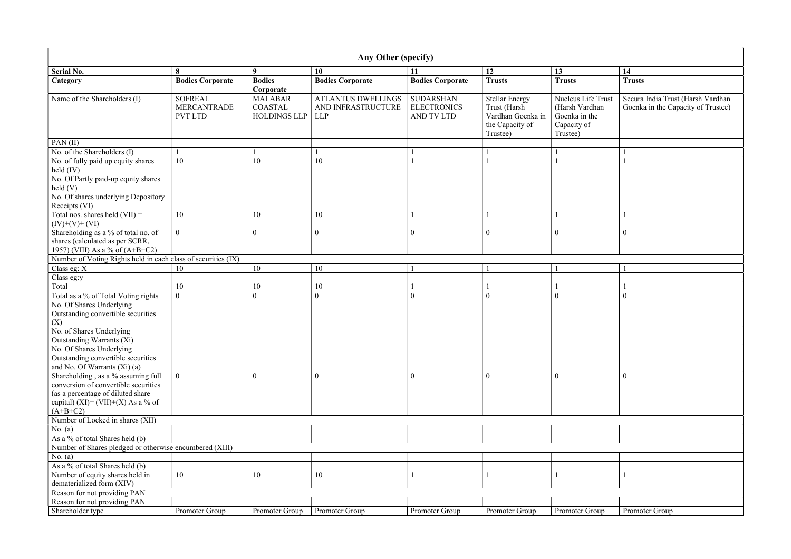|                    | 14                                                                      |
|--------------------|-------------------------------------------------------------------------|
|                    | <b>Trusts</b>                                                           |
| <b>Trust</b><br>ιn | Secura India Trust (Harsh Vardhan<br>Goenka in the Capacity of Trustee) |
|                    |                                                                         |
|                    | $\mathbf 1$<br>$\mathbf{1}$                                             |
|                    |                                                                         |
|                    |                                                                         |
|                    |                                                                         |
|                    | $\mathbf{1}$                                                            |
|                    | $\boldsymbol{0}$                                                        |
|                    |                                                                         |
|                    | $\mathbf{1}$                                                            |
|                    | $\mathbf 1$                                                             |
|                    | $\boldsymbol{0}$                                                        |
|                    |                                                                         |
|                    |                                                                         |
|                    |                                                                         |
|                    | $\boldsymbol{0}$                                                        |
|                    |                                                                         |
|                    |                                                                         |
|                    |                                                                         |
|                    |                                                                         |
|                    |                                                                         |
|                    | $\mathbf 1$                                                             |
|                    |                                                                         |
| $\frac{1}{2}$      | Promoter Group                                                          |
|                    |                                                                         |

|                                                                                                                                                                     | Any Other (specify)                                    |                                                         |                                                               |                                                             |                                                                                           |                                                                                  |                                     |  |  |  |  |
|---------------------------------------------------------------------------------------------------------------------------------------------------------------------|--------------------------------------------------------|---------------------------------------------------------|---------------------------------------------------------------|-------------------------------------------------------------|-------------------------------------------------------------------------------------------|----------------------------------------------------------------------------------|-------------------------------------|--|--|--|--|
| <b>Serial No.</b>                                                                                                                                                   | 8                                                      | 9                                                       | 10                                                            | 11                                                          | 12                                                                                        | 13                                                                               | 14                                  |  |  |  |  |
| Category                                                                                                                                                            | <b>Bodies Corporate</b>                                | <b>Bodies</b><br>Corporate                              | <b>Bodies Corporate</b>                                       | <b>Bodies Corporate</b>                                     | <b>Trusts</b>                                                                             | <b>Trusts</b>                                                                    | <b>Trusts</b>                       |  |  |  |  |
| Name of the Shareholders (I)                                                                                                                                        | <b>SOFREAL</b><br><b>MERCANTRADE</b><br><b>PVT LTD</b> | <b>MALABAR</b><br><b>COASTAL</b><br><b>HOLDINGS LLP</b> | <b>ATLANTUS DWELLINGS</b><br>AND INFRASTRUCTURE<br><b>LLP</b> | <b>SUDARSHAN</b><br><b>ELECTRONICS</b><br><b>AND TV LTD</b> | <b>Stellar Energy</b><br>Trust (Harsh<br>Vardhan Goenka in<br>the Capacity of<br>Trustee) | Nucleus Life Trust<br>(Harsh Vardhan<br>Goenka in the<br>Capacity of<br>Trustee) | Secura India Tru<br>Goenka in the C |  |  |  |  |
| PAN $(II)$                                                                                                                                                          |                                                        |                                                         |                                                               |                                                             |                                                                                           |                                                                                  |                                     |  |  |  |  |
| No. of the Shareholders (I)                                                                                                                                         |                                                        |                                                         |                                                               |                                                             |                                                                                           |                                                                                  |                                     |  |  |  |  |
| No. of fully paid up equity shares<br>held $(IV)$                                                                                                                   | 10                                                     | 10                                                      | 10                                                            |                                                             |                                                                                           |                                                                                  |                                     |  |  |  |  |
| No. Of Partly paid-up equity shares<br>held(V)                                                                                                                      |                                                        |                                                         |                                                               |                                                             |                                                                                           |                                                                                  |                                     |  |  |  |  |
| No. Of shares underlying Depository<br>Receipts (VI)                                                                                                                |                                                        |                                                         |                                                               |                                                             |                                                                                           |                                                                                  |                                     |  |  |  |  |
| Total nos. shares held $(VII)$ =<br>$(IV)+(V)+(VI)$                                                                                                                 | 10                                                     | 10                                                      | 10                                                            |                                                             |                                                                                           |                                                                                  |                                     |  |  |  |  |
| Shareholding as a % of total no. of<br>shares (calculated as per SCRR,<br>1957) (VIII) As a % of (A+B+C2)                                                           | $\boldsymbol{0}$                                       | $\boldsymbol{0}$                                        | $\mathbf{0}$                                                  | $\boldsymbol{0}$                                            | $\mathbf{0}$                                                                              | $\mathbf{0}$                                                                     | $\mathbf{0}$                        |  |  |  |  |
| Number of Voting Rights held in each class of securities (IX)                                                                                                       |                                                        |                                                         |                                                               |                                                             |                                                                                           |                                                                                  |                                     |  |  |  |  |
| Class eg: X                                                                                                                                                         | 10                                                     | 10                                                      | 10                                                            |                                                             |                                                                                           |                                                                                  |                                     |  |  |  |  |
| Class eg:y                                                                                                                                                          |                                                        |                                                         |                                                               |                                                             |                                                                                           |                                                                                  |                                     |  |  |  |  |
| Total                                                                                                                                                               | 10                                                     | 10                                                      | 10                                                            |                                                             |                                                                                           |                                                                                  |                                     |  |  |  |  |
| Total as a % of Total Voting rights                                                                                                                                 | $\mathbf{0}$                                           | $\overline{0}$                                          | $\boldsymbol{0}$                                              | $\mathbf{0}$                                                | $\mathbf{0}$                                                                              | $\theta$                                                                         | $\mathbf{0}$                        |  |  |  |  |
| No. Of Shares Underlying<br>Outstanding convertible securities<br>(X)                                                                                               |                                                        |                                                         |                                                               |                                                             |                                                                                           |                                                                                  |                                     |  |  |  |  |
| No. of Shares Underlying<br>Outstanding Warrants (Xi)                                                                                                               |                                                        |                                                         |                                                               |                                                             |                                                                                           |                                                                                  |                                     |  |  |  |  |
| No. Of Shares Underlying<br>Outstanding convertible securities<br>and No. Of Warrants $(Xi)$ (a)                                                                    |                                                        |                                                         |                                                               |                                                             |                                                                                           |                                                                                  |                                     |  |  |  |  |
| Shareholding, as a % assuming full<br>conversion of convertible securities<br>(as a percentage of diluted share<br>capital) (XI)= (VII)+(X) As a % of<br>$(A+B+C2)$ | $\mathbf{0}$                                           | $\boldsymbol{0}$                                        | $\mathbf{0}$                                                  | $\boldsymbol{0}$                                            | $\mathbf{0}$                                                                              | $\overline{0}$                                                                   | $\mathbf{0}$                        |  |  |  |  |
| Number of Locked in shares (XII)                                                                                                                                    |                                                        |                                                         |                                                               |                                                             |                                                                                           |                                                                                  |                                     |  |  |  |  |
| No. $(a)$                                                                                                                                                           |                                                        |                                                         |                                                               |                                                             |                                                                                           |                                                                                  |                                     |  |  |  |  |
| As a % of total Shares held (b)                                                                                                                                     |                                                        |                                                         |                                                               |                                                             |                                                                                           |                                                                                  |                                     |  |  |  |  |
| Number of Shares pledged or otherwise encumbered (XIII)                                                                                                             |                                                        |                                                         |                                                               |                                                             |                                                                                           |                                                                                  |                                     |  |  |  |  |
| No. $(a)$                                                                                                                                                           |                                                        |                                                         |                                                               |                                                             |                                                                                           |                                                                                  |                                     |  |  |  |  |
| As a % of total Shares held (b)                                                                                                                                     |                                                        |                                                         |                                                               |                                                             |                                                                                           |                                                                                  |                                     |  |  |  |  |
| Number of equity shares held in<br>dematerialized form (XIV)                                                                                                        | 10                                                     | 10                                                      | 10                                                            |                                                             |                                                                                           |                                                                                  |                                     |  |  |  |  |
| Reason for not providing PAN                                                                                                                                        |                                                        |                                                         |                                                               |                                                             |                                                                                           |                                                                                  |                                     |  |  |  |  |
| Reason for not providing PAN                                                                                                                                        |                                                        |                                                         |                                                               |                                                             |                                                                                           |                                                                                  |                                     |  |  |  |  |
| Shareholder type                                                                                                                                                    | Promoter Group                                         | Promoter Group                                          | Promoter Group                                                | Promoter Group                                              | Promoter Group                                                                            | Promoter Group                                                                   | Promoter Group                      |  |  |  |  |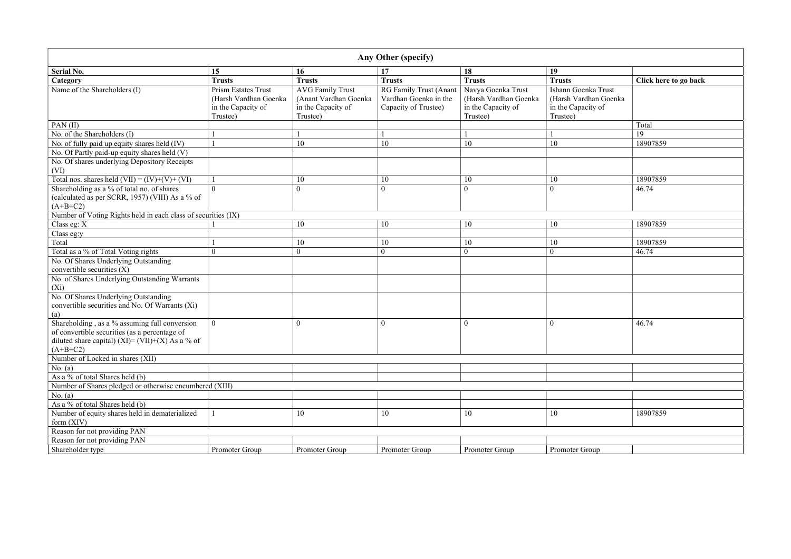|                                                                                                                                                                  |                                                                                       |                                                                                    | Any Other (specify)                                                     |                                                                               |                                                                                |                       |
|------------------------------------------------------------------------------------------------------------------------------------------------------------------|---------------------------------------------------------------------------------------|------------------------------------------------------------------------------------|-------------------------------------------------------------------------|-------------------------------------------------------------------------------|--------------------------------------------------------------------------------|-----------------------|
| <b>Serial No.</b>                                                                                                                                                | 15                                                                                    | 16                                                                                 | 17                                                                      | 18                                                                            | 19                                                                             |                       |
| Category                                                                                                                                                         | <b>Trusts</b>                                                                         | <b>Trusts</b>                                                                      | <b>Trusts</b>                                                           | <b>Trusts</b>                                                                 | <b>Trusts</b>                                                                  | Click here to go back |
| Name of the Shareholders (I)                                                                                                                                     | <b>Prism Estates Trust</b><br>(Harsh Vardhan Goenka<br>in the Capacity of<br>Trustee) | <b>AVG Family Trust</b><br>(Anant Vardhan Goenka<br>in the Capacity of<br>Trustee) | RG Family Trust (Anant<br>Vardhan Goenka in the<br>Capacity of Trustee) | Navya Goenka Trust<br>(Harsh Vardhan Goenka<br>in the Capacity of<br>Trustee) | Ishann Goenka Trust<br>(Harsh Vardhan Goenka<br>in the Capacity of<br>Trustee) |                       |
| $PAN$ (II)                                                                                                                                                       |                                                                                       |                                                                                    |                                                                         |                                                                               |                                                                                | Total                 |
| No. of the Shareholders (I)                                                                                                                                      |                                                                                       |                                                                                    |                                                                         |                                                                               |                                                                                | 19                    |
| No. of fully paid up equity shares held (IV)                                                                                                                     |                                                                                       | 10                                                                                 | 10                                                                      | 10                                                                            | 10                                                                             | 18907859              |
| No. Of Partly paid-up equity shares held (V)<br>No. Of shares underlying Depository Receipts<br>(VI)                                                             |                                                                                       |                                                                                    |                                                                         |                                                                               |                                                                                |                       |
| Total nos. shares held $(VII) = (IV)+(V)+(VI)$                                                                                                                   |                                                                                       | 10                                                                                 | 10                                                                      | 10                                                                            | 10                                                                             | 18907859              |
| Shareholding as a % of total no. of shares<br>(calculated as per SCRR, 1957) (VIII) As a % of<br>$(A+B+C2)$                                                      | $\overline{0}$                                                                        | $\overline{0}$                                                                     | $\boldsymbol{0}$                                                        | $\boldsymbol{0}$                                                              | $\boldsymbol{0}$                                                               | 46.74                 |
| Number of Voting Rights held in each class of securities (IX)                                                                                                    |                                                                                       |                                                                                    |                                                                         |                                                                               |                                                                                |                       |
| Class eg: X                                                                                                                                                      |                                                                                       | 10                                                                                 | 10                                                                      | 10                                                                            | 10                                                                             | 18907859              |
| Class eg:y                                                                                                                                                       |                                                                                       |                                                                                    |                                                                         |                                                                               |                                                                                |                       |
| Total                                                                                                                                                            |                                                                                       | 10                                                                                 | 10                                                                      | 10                                                                            | 10                                                                             | 18907859              |
| Total as a % of Total Voting rights                                                                                                                              | $\theta$                                                                              | $\boldsymbol{0}$                                                                   | $\boldsymbol{0}$                                                        | $\mathbf{0}$                                                                  | $\mathbf{0}$                                                                   | 46.74                 |
| No. Of Shares Underlying Outstanding<br>convertible securities (X)                                                                                               |                                                                                       |                                                                                    |                                                                         |                                                                               |                                                                                |                       |
| No. of Shares Underlying Outstanding Warrants<br>$(X_i)$                                                                                                         |                                                                                       |                                                                                    |                                                                         |                                                                               |                                                                                |                       |
| No. Of Shares Underlying Outstanding<br>convertible securities and No. Of Warrants (Xi)<br>(a)                                                                   |                                                                                       |                                                                                    |                                                                         |                                                                               |                                                                                |                       |
| Shareholding, as a % assuming full conversion<br>of convertible securities (as a percentage of<br>diluted share capital) (XI)= (VII)+(X) As a % of<br>$(A+B+C2)$ | $\overline{0}$                                                                        | $\boldsymbol{0}$                                                                   | $\boldsymbol{0}$                                                        | $\mathbf{0}$                                                                  | $\overline{0}$                                                                 | 46.74                 |
| Number of Locked in shares (XII)                                                                                                                                 |                                                                                       |                                                                                    |                                                                         |                                                                               |                                                                                |                       |
| No. $(a)$                                                                                                                                                        |                                                                                       |                                                                                    |                                                                         |                                                                               |                                                                                |                       |
| As a % of total Shares held (b)                                                                                                                                  |                                                                                       |                                                                                    |                                                                         |                                                                               |                                                                                |                       |
| Number of Shares pledged or otherwise encumbered (XIII)                                                                                                          |                                                                                       |                                                                                    |                                                                         |                                                                               |                                                                                |                       |
| No. $(a)$                                                                                                                                                        |                                                                                       |                                                                                    |                                                                         |                                                                               |                                                                                |                       |
| As a % of total Shares held (b)                                                                                                                                  |                                                                                       |                                                                                    |                                                                         |                                                                               |                                                                                |                       |
| Number of equity shares held in dematerialized<br>form $(XIV)$                                                                                                   |                                                                                       | 10                                                                                 | 10                                                                      | 10                                                                            | 10                                                                             | 18907859              |
| Reason for not providing PAN                                                                                                                                     |                                                                                       |                                                                                    |                                                                         |                                                                               |                                                                                |                       |
| Reason for not providing PAN                                                                                                                                     |                                                                                       |                                                                                    |                                                                         |                                                                               |                                                                                |                       |
| Shareholder type                                                                                                                                                 | Promoter Group                                                                        | Promoter Group                                                                     | Promoter Group                                                          | Promoter Group                                                                | Promoter Group                                                                 |                       |

|                       | Click here to go back |
|-----------------------|-----------------------|
| Trust<br>Goenka<br>of |                       |
|                       | Total                 |
|                       | 19                    |
|                       | 18907859              |
|                       |                       |
|                       |                       |
|                       | 18907859              |
|                       | 46.74                 |
|                       |                       |
|                       | 18907859              |
|                       |                       |
|                       | 18907859<br>46.74     |
|                       |                       |
|                       |                       |
|                       |                       |
|                       |                       |
|                       | 46.74                 |
|                       |                       |
|                       |                       |
|                       |                       |
|                       |                       |
|                       |                       |
|                       |                       |
|                       | 18907859              |
|                       |                       |
|                       |                       |
|                       |                       |
| )                     |                       |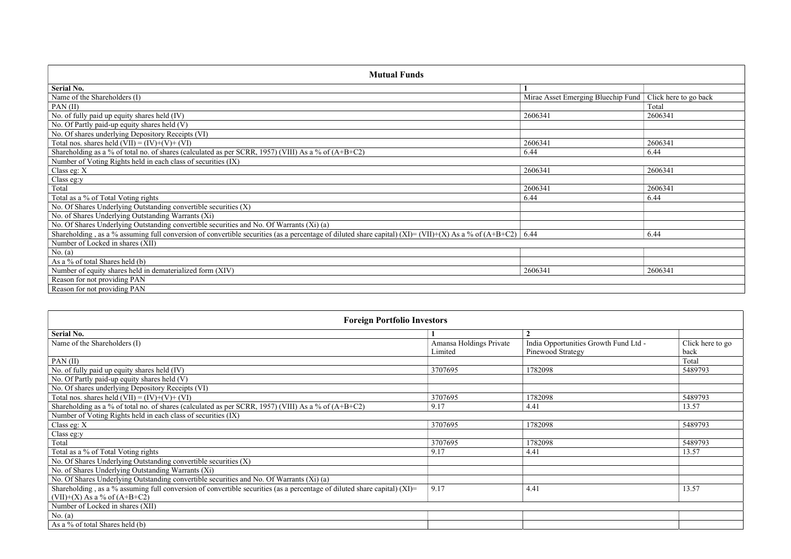| <b>Mutual Funds</b>                                                                                                                                          |                                                            |         |  |  |  |  |  |  |  |
|--------------------------------------------------------------------------------------------------------------------------------------------------------------|------------------------------------------------------------|---------|--|--|--|--|--|--|--|
| <b>Serial No.</b>                                                                                                                                            |                                                            |         |  |  |  |  |  |  |  |
| Name of the Shareholders (I)                                                                                                                                 | Mirae Asset Emerging Bluechip Fund   Click here to go back |         |  |  |  |  |  |  |  |
| PAN $(II)$                                                                                                                                                   |                                                            | Total   |  |  |  |  |  |  |  |
| No. of fully paid up equity shares held (IV)                                                                                                                 | 2606341                                                    | 2606341 |  |  |  |  |  |  |  |
| No. Of Partly paid-up equity shares held (V)                                                                                                                 |                                                            |         |  |  |  |  |  |  |  |
| No. Of shares underlying Depository Receipts (VI)                                                                                                            |                                                            |         |  |  |  |  |  |  |  |
| Total nos. shares held $(VII) = (IV)+(V)+(VI)$                                                                                                               | 2606341                                                    | 2606341 |  |  |  |  |  |  |  |
| Shareholding as a % of total no. of shares (calculated as per SCRR, 1957) (VIII) As a % of $(A+B+C2)$                                                        | 6.44                                                       | 6.44    |  |  |  |  |  |  |  |
| Number of Voting Rights held in each class of securities (IX)                                                                                                |                                                            |         |  |  |  |  |  |  |  |
| Class eg: X                                                                                                                                                  | 2606341                                                    | 2606341 |  |  |  |  |  |  |  |
| Class eg:y                                                                                                                                                   |                                                            |         |  |  |  |  |  |  |  |
| Total                                                                                                                                                        | 2606341                                                    | 2606341 |  |  |  |  |  |  |  |
| Total as a % of Total Voting rights                                                                                                                          | 6.44                                                       | 6.44    |  |  |  |  |  |  |  |
| No. Of Shares Underlying Outstanding convertible securities (X)                                                                                              |                                                            |         |  |  |  |  |  |  |  |
| No. of Shares Underlying Outstanding Warrants (Xi)                                                                                                           |                                                            |         |  |  |  |  |  |  |  |
| No. Of Shares Underlying Outstanding convertible securities and No. Of Warrants (Xi) (a)                                                                     |                                                            |         |  |  |  |  |  |  |  |
| Shareholding, as a % assuming full conversion of convertible securities (as a percentage of diluted share capital) (XI)= (VII)+(X) As a % of (A+B+C2)   6.44 |                                                            | 6.44    |  |  |  |  |  |  |  |
| Number of Locked in shares (XII)                                                                                                                             |                                                            |         |  |  |  |  |  |  |  |
| No. (a)                                                                                                                                                      |                                                            |         |  |  |  |  |  |  |  |
| As a % of total Shares held (b)                                                                                                                              |                                                            |         |  |  |  |  |  |  |  |
| Number of equity shares held in dematerialized form (XIV)                                                                                                    | 2606341                                                    | 2606341 |  |  |  |  |  |  |  |
| Reason for not providing PAN                                                                                                                                 |                                                            |         |  |  |  |  |  |  |  |
| Reason for not providing PAN                                                                                                                                 |                                                            |         |  |  |  |  |  |  |  |

| <b>Foreign Portfolio Investors</b>                                                                                          |                                    |                                                            |                          |  |  |  |  |  |
|-----------------------------------------------------------------------------------------------------------------------------|------------------------------------|------------------------------------------------------------|--------------------------|--|--|--|--|--|
| <b>Serial No.</b>                                                                                                           |                                    |                                                            |                          |  |  |  |  |  |
| Name of the Shareholders (I)                                                                                                | Amansa Holdings Private<br>Limited | India Opportunities Growth Fund Ltd -<br>Pinewood Strategy | Click here to go<br>back |  |  |  |  |  |
| $PAN$ (II)                                                                                                                  |                                    |                                                            | Total                    |  |  |  |  |  |
| No. of fully paid up equity shares held (IV)                                                                                | 3707695                            | 1782098                                                    | 5489793                  |  |  |  |  |  |
| No. Of Partly paid-up equity shares held (V)                                                                                |                                    |                                                            |                          |  |  |  |  |  |
| No. Of shares underlying Depository Receipts (VI)                                                                           |                                    |                                                            |                          |  |  |  |  |  |
| Total nos. shares held $(VII) = (IV)+(V)+(VI)$                                                                              | 3707695                            | 1782098                                                    | 5489793                  |  |  |  |  |  |
| Shareholding as a % of total no. of shares (calculated as per SCRR, 1957) (VIII) As a % of (A+B+C2)                         | 9.17                               | 4.41                                                       | 13.57                    |  |  |  |  |  |
| Number of Voting Rights held in each class of securities (IX)                                                               |                                    |                                                            |                          |  |  |  |  |  |
| Class eg: $X$                                                                                                               | 3707695                            | 1782098                                                    | 5489793                  |  |  |  |  |  |
| Class eg:y                                                                                                                  |                                    |                                                            |                          |  |  |  |  |  |
| Total                                                                                                                       | 3707695                            | 1782098                                                    | 5489793                  |  |  |  |  |  |
| Total as a % of Total Voting rights                                                                                         | 9.17                               | 4.41                                                       | 13.57                    |  |  |  |  |  |
| No. Of Shares Underlying Outstanding convertible securities (X)                                                             |                                    |                                                            |                          |  |  |  |  |  |
| No. of Shares Underlying Outstanding Warrants (Xi)                                                                          |                                    |                                                            |                          |  |  |  |  |  |
| No. Of Shares Underlying Outstanding convertible securities and No. Of Warrants (Xi) (a)                                    |                                    |                                                            |                          |  |  |  |  |  |
| Shareholding, as a % assuming full conversion of convertible securities (as a percentage of diluted share capital) $(XI)$ = | 9.17                               | 4.41                                                       | 13.57                    |  |  |  |  |  |
| $(VII)+(X)$ As a % of $(A+B+C2)$                                                                                            |                                    |                                                            |                          |  |  |  |  |  |
| Number of Locked in shares (XII)                                                                                            |                                    |                                                            |                          |  |  |  |  |  |
| No. $(a)$                                                                                                                   |                                    |                                                            |                          |  |  |  |  |  |
| As a $\%$ of total Shares held (b)                                                                                          |                                    |                                                            |                          |  |  |  |  |  |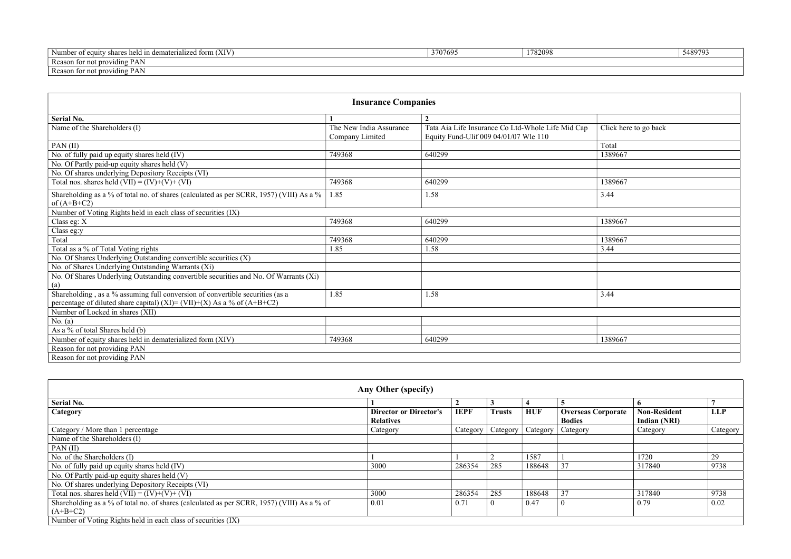| $\pm$ form $(XIV)$<br>$\overline{\phantom{a}}$<br>, held in dema<br>dematerial<br>er of equity<br>√umber<br>share.<br>117eg | 3707695 | 178200<br>o∠∪zc | 5489793 |
|-----------------------------------------------------------------------------------------------------------------------------|---------|-----------------|---------|
| Reasor<br>n for not providing<br>PA <sub>1</sub>                                                                            |         |                 |         |
| Reason<br>ason for not providing<br>$PA_{\perp}$                                                                            |         |                 |         |

| <b>Insurance Companies</b>                                                                                                                               |                                            |                                                                                            |                       |  |  |  |  |  |  |
|----------------------------------------------------------------------------------------------------------------------------------------------------------|--------------------------------------------|--------------------------------------------------------------------------------------------|-----------------------|--|--|--|--|--|--|
| <b>Serial No.</b>                                                                                                                                        |                                            | $\overline{2}$                                                                             |                       |  |  |  |  |  |  |
| Name of the Shareholders (I)                                                                                                                             | The New India Assurance<br>Company Limited | Tata Aia Life Insurance Co Ltd-Whole Life Mid Cap<br>Equity Fund-Ulif 009 04/01/07 Wle 110 | Click here to go back |  |  |  |  |  |  |
| $PAN$ (II)                                                                                                                                               |                                            |                                                                                            | Total                 |  |  |  |  |  |  |
| No. of fully paid up equity shares held (IV)                                                                                                             | 749368                                     | 640299                                                                                     | 1389667               |  |  |  |  |  |  |
| No. Of Partly paid-up equity shares held (V)                                                                                                             |                                            |                                                                                            |                       |  |  |  |  |  |  |
| No. Of shares underlying Depository Receipts (VI)                                                                                                        |                                            |                                                                                            |                       |  |  |  |  |  |  |
| Total nos. shares held $(VII) = (IV)+(V)+(VI)$                                                                                                           | 749368                                     | 640299                                                                                     | 1389667               |  |  |  |  |  |  |
| Shareholding as a % of total no. of shares (calculated as per SCRR, 1957) (VIII) As a %<br>of $(A+B+C2)$                                                 | 1.85                                       | 1.58                                                                                       | 3.44                  |  |  |  |  |  |  |
| Number of Voting Rights held in each class of securities (IX)                                                                                            |                                            |                                                                                            |                       |  |  |  |  |  |  |
| Class eg: X                                                                                                                                              | 749368                                     | 640299                                                                                     | 1389667               |  |  |  |  |  |  |
| Class eg:y                                                                                                                                               |                                            |                                                                                            |                       |  |  |  |  |  |  |
| Total                                                                                                                                                    | 749368                                     | 640299                                                                                     | 1389667               |  |  |  |  |  |  |
| Total as a % of Total Voting rights                                                                                                                      | 1.85                                       | 1.58                                                                                       | 3.44                  |  |  |  |  |  |  |
| No. Of Shares Underlying Outstanding convertible securities (X)                                                                                          |                                            |                                                                                            |                       |  |  |  |  |  |  |
| No. of Shares Underlying Outstanding Warrants (Xi)                                                                                                       |                                            |                                                                                            |                       |  |  |  |  |  |  |
| No. Of Shares Underlying Outstanding convertible securities and No. Of Warrants (Xi)<br>(a)                                                              |                                            |                                                                                            |                       |  |  |  |  |  |  |
| Shareholding, as a % assuming full conversion of convertible securities (as a<br>percentage of diluted share capital) (XI)= (VII)+(X) As a % of (A+B+C2) | 1.85                                       | 1.58                                                                                       | 3.44                  |  |  |  |  |  |  |
| Number of Locked in shares (XII)                                                                                                                         |                                            |                                                                                            |                       |  |  |  |  |  |  |
| No. $(a)$                                                                                                                                                |                                            |                                                                                            |                       |  |  |  |  |  |  |
| As a % of total Shares held (b)                                                                                                                          |                                            |                                                                                            |                       |  |  |  |  |  |  |
| Number of equity shares held in dematerialized form (XIV)                                                                                                | 749368                                     | 640299                                                                                     | 1389667               |  |  |  |  |  |  |
| Reason for not providing PAN                                                                                                                             |                                            |                                                                                            |                       |  |  |  |  |  |  |
| Reason for not providing PAN                                                                                                                             |                                            |                                                                                            |                       |  |  |  |  |  |  |

| Any Other (specify)                                                                                      |                                                   |             |                  |            |                                            |                                     |            |  |  |
|----------------------------------------------------------------------------------------------------------|---------------------------------------------------|-------------|------------------|------------|--------------------------------------------|-------------------------------------|------------|--|--|
| <b>Serial No.</b>                                                                                        |                                                   |             |                  |            |                                            |                                     |            |  |  |
| Category                                                                                                 | <b>Director or Director's</b><br><b>Relatives</b> | <b>IEPF</b> | <b>Trusts</b>    | <b>HUF</b> | <b>Overseas Corporate</b><br><b>Bodies</b> | <b>Non-Resident</b><br>Indian (NRI) | <b>LLP</b> |  |  |
| Category / More than 1 percentage                                                                        | Category                                          | Category    | Category $\vert$ | Category   | $\sqrt{\frac{2}{1}}$ Category              | Category                            | Category   |  |  |
| Name of the Shareholders (I)                                                                             |                                                   |             |                  |            |                                            |                                     |            |  |  |
| PAN(II)                                                                                                  |                                                   |             |                  |            |                                            |                                     |            |  |  |
| No. of the Shareholders (I)                                                                              |                                                   |             |                  | 1587       |                                            | 1720                                | 29         |  |  |
| No. of fully paid up equity shares held (IV)                                                             | 3000                                              | 286354      | 285              | 188648     | 37                                         | 317840                              | 9738       |  |  |
| No. Of Partly paid-up equity shares held (V)                                                             |                                                   |             |                  |            |                                            |                                     |            |  |  |
| No. Of shares underlying Depository Receipts (VI)                                                        |                                                   |             |                  |            |                                            |                                     |            |  |  |
| Total nos. shares held $(VII) = (IV)+(V)+(VI)$                                                           | 3000                                              | 286354      | 285              | 188648     | 37                                         | 317840                              | 9738       |  |  |
| Shareholding as a % of total no. of shares (calculated as per SCRR, 1957) (VIII) As a % of<br>$(A+B+C2)$ | 0.01                                              | 0.71        |                  | 0.47       |                                            | 0.79                                | 0.02       |  |  |
| Number of Voting Rights held in each class of securities (IX)                                            |                                                   |             |                  |            |                                            |                                     |            |  |  |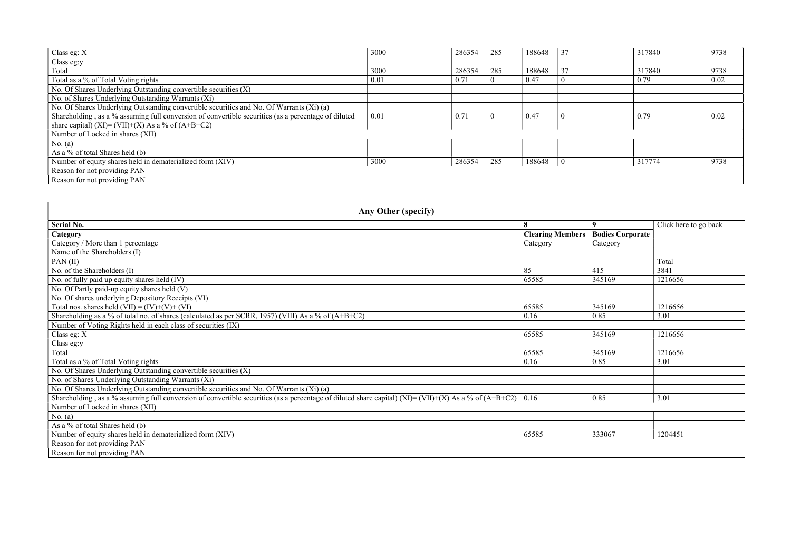| Class eg: X                                                                                         | 3000 | 286354 | 285 | 188648 | 37 | 317840 | 9738 |
|-----------------------------------------------------------------------------------------------------|------|--------|-----|--------|----|--------|------|
| Class eg:y                                                                                          |      |        |     |        |    |        |      |
| Total                                                                                               | 3000 | 286354 | 285 | 188648 | 37 | 317840 | 9738 |
| Total as a % of Total Voting rights                                                                 | 0.01 | 0.71   |     | 0.47   |    | 0.79   | 0.02 |
| No. Of Shares Underlying Outstanding convertible securities (X)                                     |      |        |     |        |    |        |      |
| No. of Shares Underlying Outstanding Warrants (Xi)                                                  |      |        |     |        |    |        |      |
| No. Of Shares Underlying Outstanding convertible securities and No. Of Warrants (Xi) (a)            |      |        |     |        |    |        |      |
| Shareholding, as a % assuming full conversion of convertible securities (as a percentage of diluted | 0.01 | 0.71   |     | 0.47   |    | 0.79   | 0.02 |
| share capital) (XI)= (VII)+(X) As a % of (A+B+C2)                                                   |      |        |     |        |    |        |      |
| Number of Locked in shares (XII)                                                                    |      |        |     |        |    |        |      |
| No. $(a)$                                                                                           |      |        |     |        |    |        |      |
| As a % of total Shares held $(b)$                                                                   |      |        |     |        |    |        |      |
| Number of equity shares held in dematerialized form (XIV)                                           | 3000 | 286354 | 285 | 188648 |    | 317774 | 9738 |
| Reason for not providing PAN                                                                        |      |        |     |        |    |        |      |
| Reason for not providing PAN                                                                        |      |        |     |        |    |        |      |

| Any Other (specify)                                                                                                                                          |                         |                         |                       |  |  |  |  |
|--------------------------------------------------------------------------------------------------------------------------------------------------------------|-------------------------|-------------------------|-----------------------|--|--|--|--|
| <b>Serial No.</b>                                                                                                                                            | 8                       | 9                       | Click here to go back |  |  |  |  |
| Category                                                                                                                                                     | <b>Clearing Members</b> | <b>Bodies Corporate</b> |                       |  |  |  |  |
| Category / More than 1 percentage                                                                                                                            | Category                | Category                |                       |  |  |  |  |
| Name of the Shareholders (I)                                                                                                                                 |                         |                         |                       |  |  |  |  |
| PAN $(II)$                                                                                                                                                   |                         |                         | Total                 |  |  |  |  |
| No. of the Shareholders (I)                                                                                                                                  | 85                      | 415                     | 3841                  |  |  |  |  |
| No. of fully paid up equity shares held (IV)                                                                                                                 | 65585                   | 345169                  | 1216656               |  |  |  |  |
| No. Of Partly paid-up equity shares held (V)                                                                                                                 |                         |                         |                       |  |  |  |  |
| No. Of shares underlying Depository Receipts (VI)                                                                                                            |                         |                         |                       |  |  |  |  |
| Total nos. shares held $(VII) = (IV)+(V)+(VI)$                                                                                                               | 65585                   | 345169                  | 1216656               |  |  |  |  |
| Shareholding as a % of total no. of shares (calculated as per SCRR, 1957) (VIII) As a % of (A+B+C2)                                                          | 0.16                    | 0.85                    | 3.01                  |  |  |  |  |
| Number of Voting Rights held in each class of securities (IX)                                                                                                |                         |                         |                       |  |  |  |  |
| Class eg: $X$                                                                                                                                                | 65585                   | 345169                  | 1216656               |  |  |  |  |
| Class eg:y                                                                                                                                                   |                         |                         |                       |  |  |  |  |
| Total                                                                                                                                                        | 65585                   | 345169                  | 1216656               |  |  |  |  |
| Total as a % of Total Voting rights                                                                                                                          | 0.16                    | 0.85                    | 3.01                  |  |  |  |  |
| No. Of Shares Underlying Outstanding convertible securities (X)                                                                                              |                         |                         |                       |  |  |  |  |
| No. of Shares Underlying Outstanding Warrants (Xi)                                                                                                           |                         |                         |                       |  |  |  |  |
| No. Of Shares Underlying Outstanding convertible securities and No. Of Warrants (Xi) (a)                                                                     |                         |                         |                       |  |  |  |  |
| Shareholding, as a % assuming full conversion of convertible securities (as a percentage of diluted share capital) (XI)= (VII)+(X) As a % of (A+B+C2)   0.16 |                         | 0.85                    | 3.01                  |  |  |  |  |
| Number of Locked in shares (XII)                                                                                                                             |                         |                         |                       |  |  |  |  |
| No. $(a)$                                                                                                                                                    |                         |                         |                       |  |  |  |  |
| As a % of total Shares held (b)                                                                                                                              |                         |                         |                       |  |  |  |  |
| Number of equity shares held in dematerialized form (XIV)                                                                                                    | 65585                   | 333067                  | 1204451               |  |  |  |  |
| Reason for not providing PAN                                                                                                                                 |                         |                         |                       |  |  |  |  |
| Reason for not providing PAN                                                                                                                                 |                         |                         |                       |  |  |  |  |